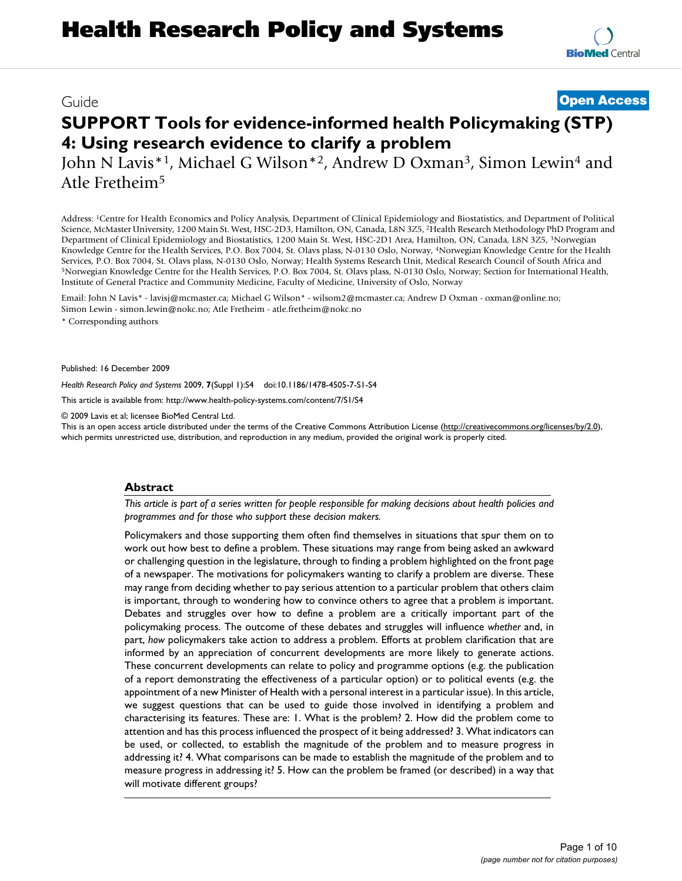# Guide **[Open Access](http://www.biomedcentral.com/info/about/charter/)**

# **SUPPORT Tools for evidence-informed health Policymaking (STP) 4: Using research evidence to clarify a problem**

John N Lavis<sup>\*1</sup>, Michael G Wilson<sup>\*2</sup>, Andrew D Oxman<sup>3</sup>, Simon Lewin<sup>4</sup> and Atle Fretheim5

Address: 1Centre for Health Economics and Policy Analysis, Department of Clinical Epidemiology and Biostatistics, and Department of Political Science, McMaster University, 1200 Main St. West, HSC-2D3, Hamilton, ON, Canada, L8N 3Z5, 2Health Research Methodology PhD Program and Department of Clinical Epidemiology and Biostatistics, 1200 Main St. West, HSC-2D1 Area, Hamilton, ON, Canada, L8N 3Z5, 3Norwegian Knowledge Centre for the Health Services, P.O. Box 7004, St. Olavs plass, N-0130 Oslo, Norway, 4Norwegian Knowledge Centre for the Health Services, P.O. Box 7004, St. Olavs plass, N-0130 Oslo, Norway; Health Systems Research Unit, Medical Research Council of South Africa and<br><sup>5</sup>Norwegian Knowledge Centre for the Health Services, P.O. Box 7004, St. Olavs plas Institute of General Practice and Community Medicine, Faculty of Medicine, University of Oslo, Norway

Email: John N Lavis\* - lavisj@mcmaster.ca; Michael G Wilson\* - wilsom2@mcmaster.ca; Andrew D Oxman - oxman@online.no; Simon Lewin - simon.lewin@nokc.no; Atle Fretheim - atle.fretheim@nokc.no

\* Corresponding authors

Published: 16 December 2009

*Health Research Policy and Systems* 2009, **7**(Suppl 1):S4 doi:10.1186/1478-4505-7-S1-S4

[This article is available from: http://www.health-policy-systems.com/content/7/S1/S4](http://www.health-policy-systems.com/content/7/S1/S4)

© 2009 Lavis et al; licensee BioMed Central Ltd.

This is an open access article distributed under the terms of the Creative Commons Attribution License [\(http://creativecommons.org/licenses/by/2.0\)](http://creativecommons.org/licenses/by/2.0), which permits unrestricted use, distribution, and reproduction in any medium, provided the original work is properly cited.

### **Abstract**

*This article is part of a series written for people responsible for making decisions about health policies and programmes and for those who support these decision makers.*

Policymakers and those supporting them often find themselves in situations that spur them on to work out how best to define a problem. These situations may range from being asked an awkward or challenging question in the legislature, through to finding a problem highlighted on the front page of a newspaper. The motivations for policymakers wanting to clarify a problem are diverse. These may range from deciding whether to pay serious attention to a particular problem that others claim is important, through to wondering how to convince others to agree that a problem *is* important. Debates and struggles over how to define a problem are a critically important part of the policymaking process. The outcome of these debates and struggles will influence *whether* and, in part, *how* policymakers take action to address a problem. Efforts at problem clarification that are informed by an appreciation of concurrent developments are more likely to generate actions. These concurrent developments can relate to policy and programme options (e.g. the publication of a report demonstrating the effectiveness of a particular option) or to political events (e.g. the appointment of a new Minister of Health with a personal interest in a particular issue). In this article, we suggest questions that can be used to guide those involved in identifying a problem and characterising its features. These are: 1. What is the problem? 2. How did the problem come to attention and has this process influenced the prospect of it being addressed? 3. What indicators can be used, or collected, to establish the magnitude of the problem and to measure progress in addressing it? 4. What comparisons can be made to establish the magnitude of the problem and to measure progress in addressing it? 5. How can the problem be framed (or described) in a way that will motivate different groups?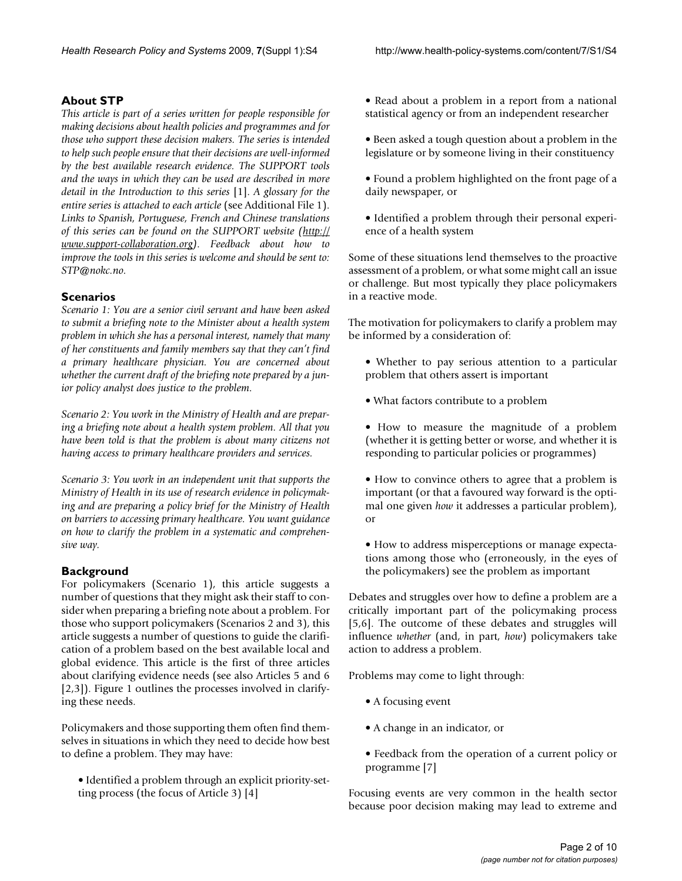# **About STP**

*This article is part of a series written for people responsible for making decisions about health policies and programmes and for those who support these decision makers. The series is intended to help such people ensure that their decisions are well-informed by the best available research evidence. The SUPPORT tools and the ways in which they can be used are described in more detail in the Introduction to this series* [1]. *A glossary for the entire series is attached to each article* (see Additional File 1). *Links to Spanish, Portuguese, French and Chinese translations of this series can be found on the SUPPORT website ([http://](http://www.support-collaboration.org) [www.support-collaboration.org](http://www.support-collaboration.org)). Feedback about how to improve the tools in this series is welcome and should be sent to: STP@nokc.no.*

# **Scenarios**

*Scenario 1: You are a senior civil servant and have been asked to submit a briefing note to the Minister about a health system problem in which she has a personal interest, namely that many of her constituents and family members say that they can't find a primary healthcare physician. You are concerned about whether the current draft of the briefing note prepared by a junior policy analyst does justice to the problem.*

*Scenario 2: You work in the Ministry of Health and are preparing a briefing note about a health system problem. All that you have been told is that the problem is about many citizens not having access to primary healthcare providers and services.*

*Scenario 3: You work in an independent unit that supports the Ministry of Health in its use of research evidence in policymaking and are preparing a policy brief for the Ministry of Health on barriers to accessing primary healthcare. You want guidance on how to clarify the problem in a systematic and comprehensive way.*

# **Background**

For policymakers (Scenario 1), this article suggests a number of questions that they might ask their staff to consider when preparing a briefing note about a problem. For those who support policymakers (Scenarios 2 and 3), this article suggests a number of questions to guide the clarification of a problem based on the best available local and global evidence. This article is the first of three articles about clarifying evidence needs (see also Articles 5 and 6 [2,3]). Figure 1 outlines the processes involved in clarifying these needs.

Policymakers and those supporting them often find themselves in situations in which they need to decide how best to define a problem. They may have:

• Identified a problem through an explicit priority-setting process (the focus of Article 3) [4]

- Read about a problem in a report from a national statistical agency or from an independent researcher
- Been asked a tough question about a problem in the legislature or by someone living in their constituency
- Found a problem highlighted on the front page of a daily newspaper, or
- Identified a problem through their personal experience of a health system

Some of these situations lend themselves to the proactive assessment of a problem, or what some might call an issue or challenge. But most typically they place policymakers in a reactive mode.

The motivation for policymakers to clarify a problem may be informed by a consideration of:

- Whether to pay serious attention to a particular problem that others assert is important
- What factors contribute to a problem
- How to measure the magnitude of a problem (whether it is getting better or worse, and whether it is responding to particular policies or programmes)
- How to convince others to agree that a problem is important (or that a favoured way forward is the optimal one given *how* it addresses a particular problem), or
- How to address misperceptions or manage expectations among those who (erroneously, in the eyes of the policymakers) see the problem as important

Debates and struggles over how to define a problem are a critically important part of the policymaking process [5,6]. The outcome of these debates and struggles will influence *whether* (and, in part, *how*) policymakers take action to address a problem.

Problems may come to light through:

- A focusing event
- A change in an indicator, or
- Feedback from the operation of a current policy or programme [7]

Focusing events are very common in the health sector because poor decision making may lead to extreme and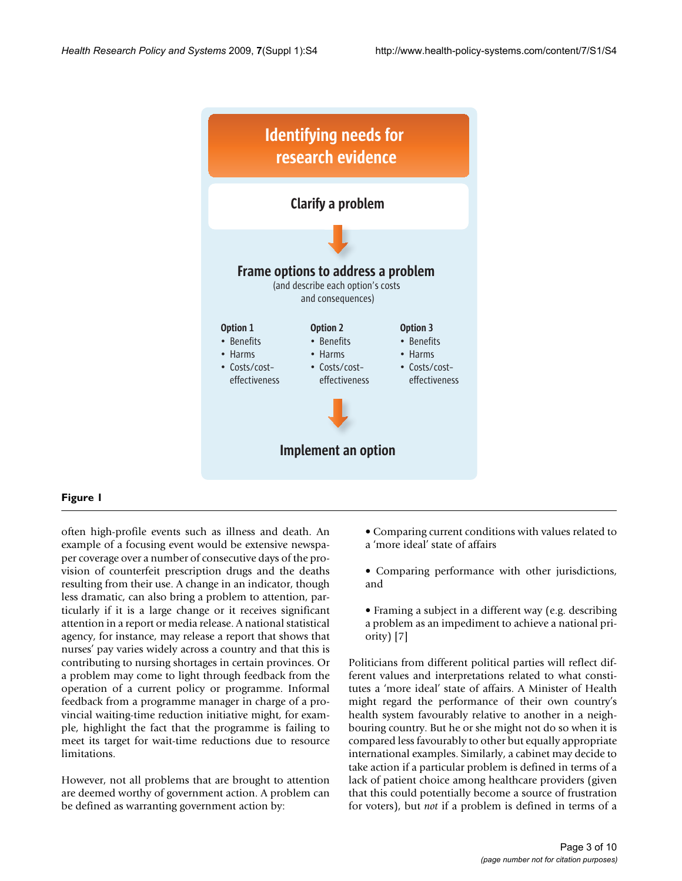

# **Figure 1**

often high-profile events such as illness and death. An example of a focusing event would be extensive newspaper coverage over a number of consecutive days of the provision of counterfeit prescription drugs and the deaths resulting from their use. A change in an indicator, though less dramatic, can also bring a problem to attention, particularly if it is a large change or it receives significant attention in a report or media release. A national statistical agency, for instance, may release a report that shows that nurses' pay varies widely across a country and that this is contributing to nursing shortages in certain provinces. Or a problem may come to light through feedback from the operation of a current policy or programme. Informal feedback from a programme manager in charge of a provincial waiting-time reduction initiative might, for example, highlight the fact that the programme is failing to meet its target for wait-time reductions due to resource limitations.

However, not all problems that are brought to attention are deemed worthy of government action. A problem can be defined as warranting government action by:

- Comparing current conditions with values related to a 'more ideal' state of affairs
- Comparing performance with other jurisdictions, and
- Framing a subject in a different way (e.g. describing a problem as an impediment to achieve a national priority) [7]

Politicians from different political parties will reflect different values and interpretations related to what constitutes a 'more ideal' state of affairs. A Minister of Health might regard the performance of their own country's health system favourably relative to another in a neighbouring country. But he or she might not do so when it is compared less favourably to other but equally appropriate international examples. Similarly, a cabinet may decide to take action if a particular problem is defined in terms of a lack of patient choice among healthcare providers (given that this could potentially become a source of frustration for voters), but *not* if a problem is defined in terms of a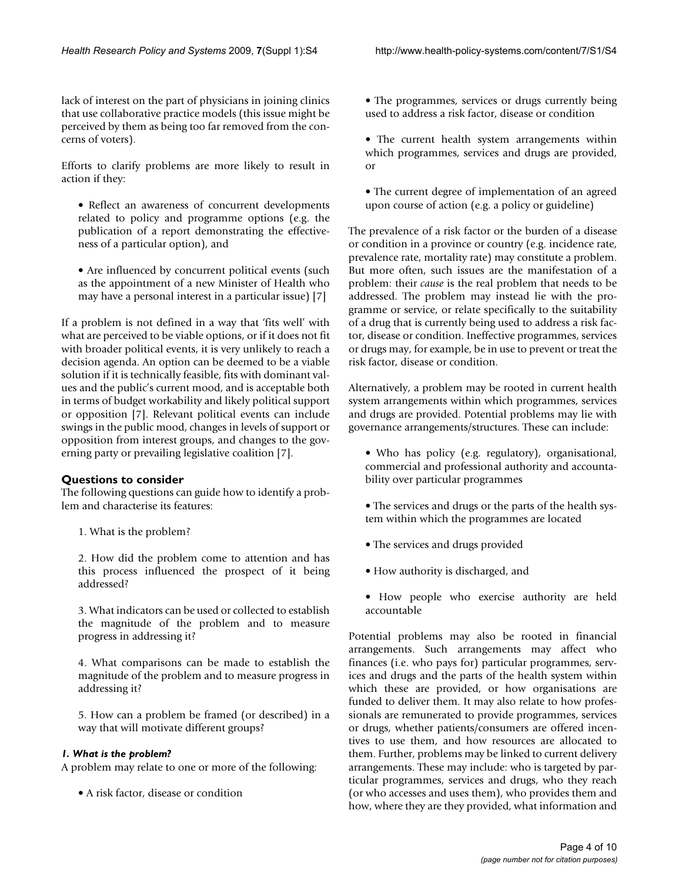lack of interest on the part of physicians in joining clinics that use collaborative practice models (this issue might be perceived by them as being too far removed from the concerns of voters).

Efforts to clarify problems are more likely to result in action if they:

- Reflect an awareness of concurrent developments related to policy and programme options (e.g. the publication of a report demonstrating the effectiveness of a particular option), and
- Are influenced by concurrent political events (such as the appointment of a new Minister of Health who may have a personal interest in a particular issue) [7]

If a problem is not defined in a way that 'fits well' with what are perceived to be viable options, or if it does not fit with broader political events, it is very unlikely to reach a decision agenda. An option can be deemed to be a viable solution if it is technically feasible, fits with dominant values and the public's current mood, and is acceptable both in terms of budget workability and likely political support or opposition [7]. Relevant political events can include swings in the public mood, changes in levels of support or opposition from interest groups, and changes to the governing party or prevailing legislative coalition [7].

# **Questions to consider**

The following questions can guide how to identify a problem and characterise its features:

1. What is the problem?

2. How did the problem come to attention and has this process influenced the prospect of it being addressed?

3. What indicators can be used or collected to establish the magnitude of the problem and to measure progress in addressing it?

4. What comparisons can be made to establish the magnitude of the problem and to measure progress in addressing it?

5. How can a problem be framed (or described) in a way that will motivate different groups?

### *1. What is the problem?*

A problem may relate to one or more of the following:

• A risk factor, disease or condition

• The programmes, services or drugs currently being used to address a risk factor, disease or condition

• The current health system arrangements within which programmes, services and drugs are provided, or

• The current degree of implementation of an agreed upon course of action (e.g. a policy or guideline)

The prevalence of a risk factor or the burden of a disease or condition in a province or country (e.g. incidence rate, prevalence rate, mortality rate) may constitute a problem. But more often, such issues are the manifestation of a problem: their *cause* is the real problem that needs to be addressed. The problem may instead lie with the programme or service, or relate specifically to the suitability of a drug that is currently being used to address a risk factor, disease or condition. Ineffective programmes, services or drugs may, for example, be in use to prevent or treat the risk factor, disease or condition.

Alternatively, a problem may be rooted in current health system arrangements within which programmes, services and drugs are provided. Potential problems may lie with governance arrangements/structures. These can include:

- Who has policy (e.g. regulatory), organisational, commercial and professional authority and accountability over particular programmes
- The services and drugs or the parts of the health system within which the programmes are located
- The services and drugs provided
- How authority is discharged, and
- How people who exercise authority are held accountable

Potential problems may also be rooted in financial arrangements. Such arrangements may affect who finances (i.e. who pays for) particular programmes, services and drugs and the parts of the health system within which these are provided, or how organisations are funded to deliver them. It may also relate to how professionals are remunerated to provide programmes, services or drugs, whether patients/consumers are offered incentives to use them, and how resources are allocated to them. Further, problems may be linked to current delivery arrangements. These may include: who is targeted by particular programmes, services and drugs, who they reach (or who accesses and uses them), who provides them and how, where they are they provided, what information and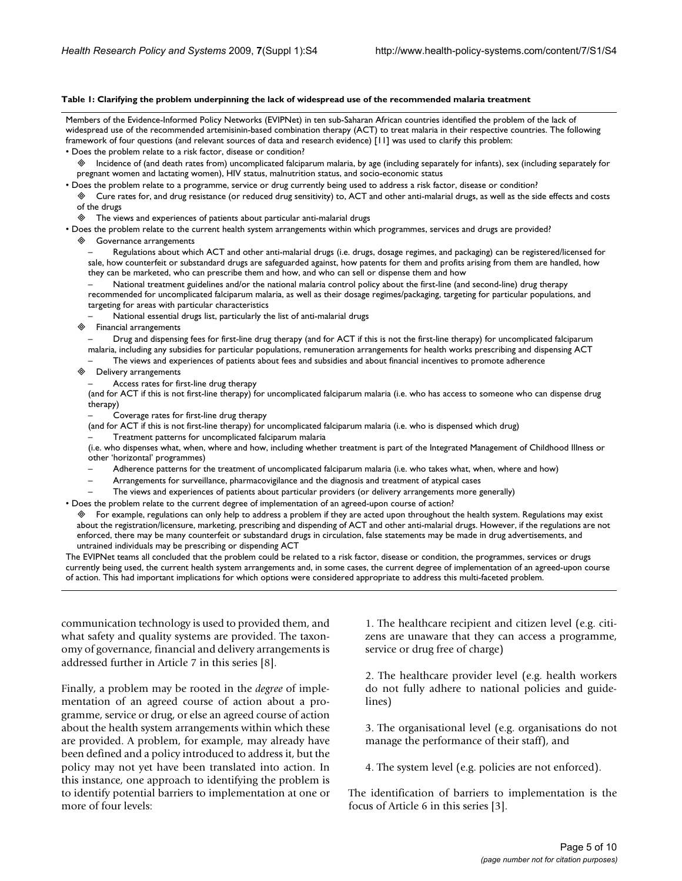#### **Table 1: Clarifying the problem underpinning the lack of widespread use of the recommended malaria treatment**

Members of the Evidence-Informed Policy Networks (EVIPNet) in ten sub-Saharan African countries identified the problem of the lack of widespread use of the recommended artemisinin-based combination therapy (ACT) to treat malaria in their respective countries. The following framework of four questions (and relevant sources of data and research evidence) [11] was used to clarify this problem:

• Does the problem relate to a risk factor, disease or condition?

 $\textcircled{*}$  Incidence of (and death rates from) uncomplicated falciparum malaria, by age (including separately for infants), sex (including separately for pregnant women and lactating women), HIV status, malnutrition status, and socio-economic status

- Does the problem relate to a programme, service or drug currently being used to address a risk factor, disease or condition?
	- $\textcircled{*}$  Cure rates for, and drug resistance (or reduced drug sensitivity) to, ACT and other anti-malarial drugs, as well as the side effects and costs of the drugs
- The views and experiences of patients about particular anti-malarial drugs
- Does the problem relate to the current health system arrangements within which programmes, services and drugs are provided?
	- $\textcircled{8}$  Governance arrangements

– Regulations about which ACT and other anti-malarial drugs (i.e. drugs, dosage regimes, and packaging) can be registered/licensed for sale, how counterfeit or substandard drugs are safeguarded against, how patents for them and profits arising from them are handled, how they can be marketed, who can prescribe them and how, and who can sell or dispense them and how

– National treatment guidelines and/or the national malaria control policy about the first-line (and second-line) drug therapy recommended for uncomplicated falciparum malaria, as well as their dosage regimes/packaging, targeting for particular populations, and targeting for areas with particular characteristics

- National essential drugs list, particularly the list of anti-malarial drugs
- Financial arrangements

– Drug and dispensing fees for first-line drug therapy (and for ACT if this is not the first-line therapy) for uncomplicated falciparum malaria, including any subsidies for particular populations, remuneration arrangements for health works prescribing and dispensing ACT

- The views and experiences of patients about fees and subsidies and about financial incentives to promote adherence
- Delivery arrangements
	- Access rates for first-line drug therapy

(and for ACT if this is not first-line therapy) for uncomplicated falciparum malaria (i.e. who has access to someone who can dispense drug therapy)

- Coverage rates for first-line drug therapy
- (and for ACT if this is not first-line therapy) for uncomplicated falciparum malaria (i.e. who is dispensed which drug)

– Treatment patterns for uncomplicated falciparum malaria (i.e. who dispenses what, when, where and how, including whether treatment is part of the Integrated Management of Childhood Illness or other 'horizontal' programmes)

- Adherence patterns for the treatment of uncomplicated falciparum malaria (i.e. who takes what, when, where and how)
- Arrangements for surveillance, pharmacovigilance and the diagnosis and treatment of atypical cases
- The views and experiences of patients about particular providers (or delivery arrangements more generally)
- Does the problem relate to the current degree of implementation of an agreed-upon course of action?

 $\textcircled{*}$  For example, regulations can only help to address a problem if they are acted upon throughout the health system. Regulations may exist about the registration/licensure, marketing, prescribing and dispending of ACT and other anti-malarial drugs. However, if the regulations are not enforced, there may be many counterfeit or substandard drugs in circulation, false statements may be made in drug advertisements, and untrained individuals may be prescribing or dispending ACT

The EVIPNet teams all concluded that the problem could be related to a risk factor, disease or condition, the programmes, services or drugs currently being used, the current health system arrangements and, in some cases, the current degree of implementation of an agreed-upon course of action. This had important implications for which options were considered appropriate to address this multi-faceted problem.

communication technology is used to provided them, and what safety and quality systems are provided. The taxonomy of governance, financial and delivery arrangements is addressed further in Article 7 in this series [8].

Finally, a problem may be rooted in the *degree* of implementation of an agreed course of action about a programme, service or drug, or else an agreed course of action about the health system arrangements within which these are provided. A problem, for example, may already have been defined and a policy introduced to address it, but the policy may not yet have been translated into action. In this instance, one approach to identifying the problem is to identify potential barriers to implementation at one or more of four levels:

1. The healthcare recipient and citizen level (e.g. citizens are unaware that they can access a programme, service or drug free of charge)

2. The healthcare provider level (e.g. health workers do not fully adhere to national policies and guidelines)

3. The organisational level (e.g. organisations do not manage the performance of their staff), and

4. The system level (e.g. policies are not enforced).

The identification of barriers to implementation is the focus of Article 6 in this series [3].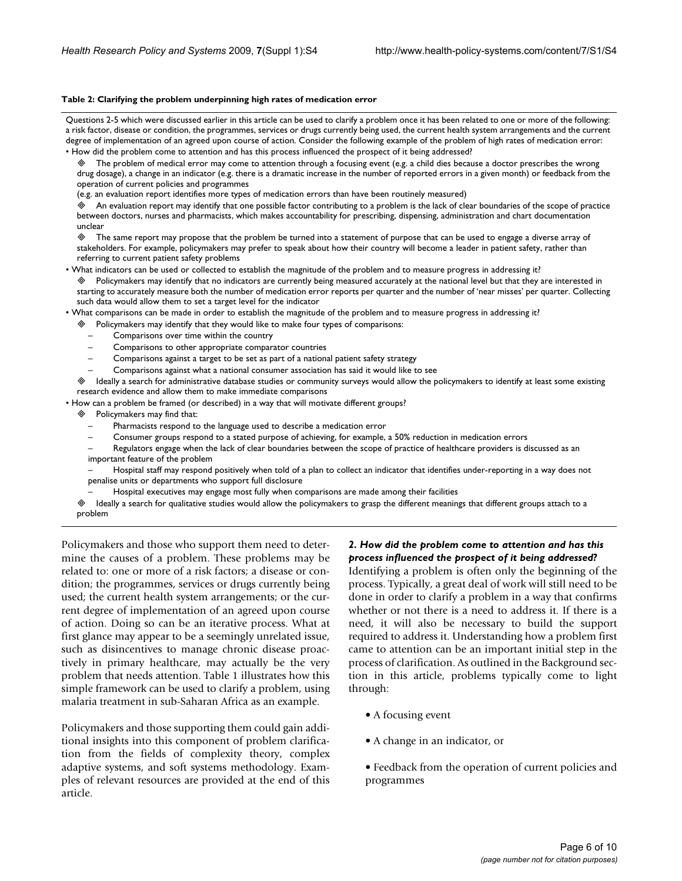#### **Table 2: Clarifying the problem underpinning high rates of medication error**

Questions 2-5 which were discussed earlier in this article can be used to clarify a problem once it has been related to one or more of the following: a risk factor, disease or condition, the programmes, services or drugs currently being used, the current health system arrangements and the current degree of implementation of an agreed upon course of action. Consider the following example of the problem of high rates of medication error:

• How did the problem come to attention and has this process influenced the prospect of it being addressed?

 The problem of medical error may come to attention through a focusing event (e.g. a child dies because a doctor prescribes the wrong drug dosage), a change in an indicator (e.g. there is a dramatic increase in the number of reported errors in a given month) or feedback from the operation of current policies and programmes

(e.g. an evaluation report identifies more types of medication errors than have been routinely measured)

 An evaluation report may identify that one possible factor contributing to a problem is the lack of clear boundaries of the scope of practice between doctors, nurses and pharmacists, which makes accountability for prescribing, dispensing, administration and chart documentation unclear

 The same report may propose that the problem be turned into a statement of purpose that can be used to engage a diverse array of stakeholders. For example, policymakers may prefer to speak about how their country will become a leader in patient safety, rather than referring to current patient safety problems

• What indicators can be used or collected to establish the magnitude of the problem and to measure progress in addressing it?

 Policymakers may identify that no indicators are currently being measured accurately at the national level but that they are interested in starting to accurately measure both the number of medication error reports per quarter and the number of 'near misses' per quarter. Collecting such data would allow them to set a target level for the indicator

• What comparisons can be made in order to establish the magnitude of the problem and to measure progress in addressing it?

- Policymakers may identify that they would like to make four types of comparisons:
	- Comparisons over time within the country
	- Comparisons to other appropriate comparator countries
	- Comparisons against a target to be set as part of a national patient safety strategy
	- Comparisons against what a national consumer association has said it would like to see

 $\textcircled{*}$  Ideally a search for administrative database studies or community surveys would allow the policymakers to identify at least some existing research evidence and allow them to make immediate comparisons

- How can a problem be framed (or described) in a way that will motivate different groups?
	- Policymakers may find that:
		- Pharmacists respond to the language used to describe a medication error
		- Consumer groups respond to a stated purpose of achieving, for example, a 50% reduction in medication errors
		- Regulators engage when the lack of clear boundaries between the scope of practice of healthcare providers is discussed as an important feature of the problem

– Hospital staff may respond positively when told of a plan to collect an indicator that identifies under-reporting in a way does not penalise units or departments who support full disclosure

– Hospital executives may engage most fully when comparisons are made among their facilities

 $\textcircled{*}$  Ideally a search for qualitative studies would allow the policymakers to grasp the different meanings that different groups attach to a problem

Policymakers and those who support them need to determine the causes of a problem. These problems may be related to: one or more of a risk factors; a disease or condition; the programmes, services or drugs currently being used; the current health system arrangements; or the current degree of implementation of an agreed upon course of action. Doing so can be an iterative process. What at first glance may appear to be a seemingly unrelated issue, such as disincentives to manage chronic disease proactively in primary healthcare, may actually be the very problem that needs attention. Table 1 illustrates how this simple framework can be used to clarify a problem, using malaria treatment in sub-Saharan Africa as an example.

Policymakers and those supporting them could gain additional insights into this component of problem clarification from the fields of complexity theory, complex adaptive systems, and soft systems methodology. Examples of relevant resources are provided at the end of this article.

# *2. How did the problem come to attention and has this process influenced the prospect of it being addressed?*

Identifying a problem is often only the beginning of the process. Typically, a great deal of work will still need to be done in order to clarify a problem in a way that confirms whether or not there is a need to address it. If there is a need, it will also be necessary to build the support required to address it. Understanding how a problem first came to attention can be an important initial step in the process of clarification. As outlined in the Background section in this article, problems typically come to light through:

- A focusing event
- A change in an indicator, or
- Feedback from the operation of current policies and programmes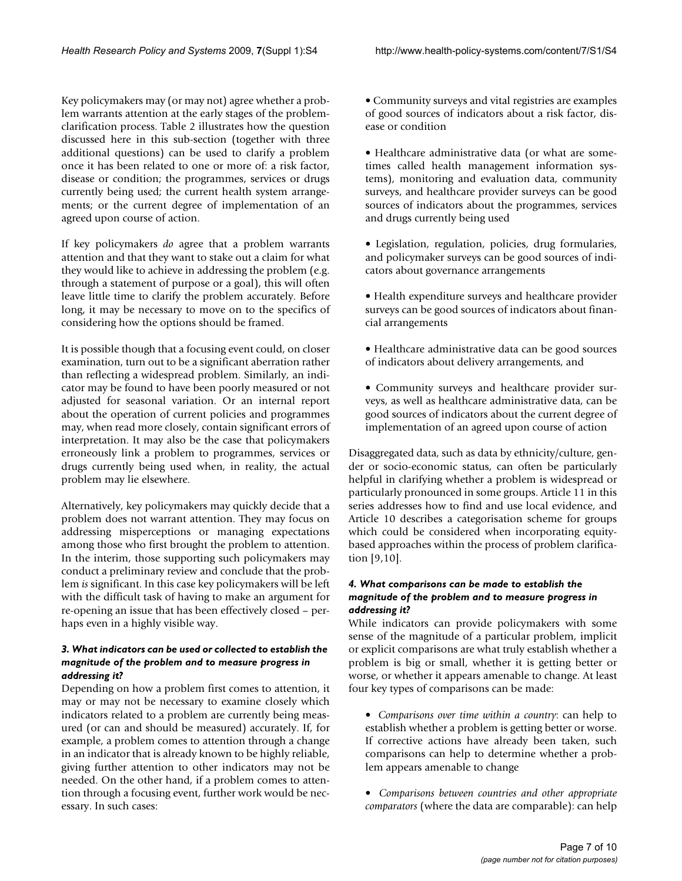Key policymakers may (or may not) agree whether a problem warrants attention at the early stages of the problemclarification process. Table 2 illustrates how the question discussed here in this sub-section (together with three additional questions) can be used to clarify a problem once it has been related to one or more of: a risk factor, disease or condition; the programmes, services or drugs currently being used; the current health system arrangements; or the current degree of implementation of an agreed upon course of action.

If key policymakers *do* agree that a problem warrants attention and that they want to stake out a claim for what they would like to achieve in addressing the problem (e.g. through a statement of purpose or a goal), this will often leave little time to clarify the problem accurately. Before long, it may be necessary to move on to the specifics of considering how the options should be framed.

It is possible though that a focusing event could, on closer examination, turn out to be a significant aberration rather than reflecting a widespread problem. Similarly, an indicator may be found to have been poorly measured or not adjusted for seasonal variation. Or an internal report about the operation of current policies and programmes may, when read more closely, contain significant errors of interpretation. It may also be the case that policymakers erroneously link a problem to programmes, services or drugs currently being used when, in reality, the actual problem may lie elsewhere.

Alternatively, key policymakers may quickly decide that a problem does not warrant attention. They may focus on addressing misperceptions or managing expectations among those who first brought the problem to attention. In the interim, those supporting such policymakers may conduct a preliminary review and conclude that the problem *is* significant. In this case key policymakers will be left with the difficult task of having to make an argument for re-opening an issue that has been effectively closed – perhaps even in a highly visible way.

# *3. What indicators can be used or collected to establish the magnitude of the problem and to measure progress in addressing it?*

Depending on how a problem first comes to attention, it may or may not be necessary to examine closely which indicators related to a problem are currently being measured (or can and should be measured) accurately. If, for example, a problem comes to attention through a change in an indicator that is already known to be highly reliable, giving further attention to other indicators may not be needed. On the other hand, if a problem comes to attention through a focusing event, further work would be necessary. In such cases:

• Community surveys and vital registries are examples of good sources of indicators about a risk factor, disease or condition

• Healthcare administrative data (or what are sometimes called health management information systems), monitoring and evaluation data, community surveys, and healthcare provider surveys can be good sources of indicators about the programmes, services and drugs currently being used

- Legislation, regulation, policies, drug formularies, and policymaker surveys can be good sources of indicators about governance arrangements
- Health expenditure surveys and healthcare provider surveys can be good sources of indicators about financial arrangements
- Healthcare administrative data can be good sources of indicators about delivery arrangements, and
- Community surveys and healthcare provider surveys, as well as healthcare administrative data, can be good sources of indicators about the current degree of implementation of an agreed upon course of action

Disaggregated data, such as data by ethnicity/culture, gender or socio-economic status, can often be particularly helpful in clarifying whether a problem is widespread or particularly pronounced in some groups. Article 11 in this series addresses how to find and use local evidence, and Article 10 describes a categorisation scheme for groups which could be considered when incorporating equitybased approaches within the process of problem clarification [9,10].

# *4. What comparisons can be made to establish the magnitude of the problem and to measure progress in addressing it?*

While indicators can provide policymakers with some sense of the magnitude of a particular problem, implicit or explicit comparisons are what truly establish whether a problem is big or small, whether it is getting better or worse, or whether it appears amenable to change. At least four key types of comparisons can be made:

- *Comparisons over time within a country*: can help to establish whether a problem is getting better or worse. If corrective actions have already been taken, such comparisons can help to determine whether a problem appears amenable to change
- *Comparisons between countries and other appropriate comparators* (where the data are comparable): can help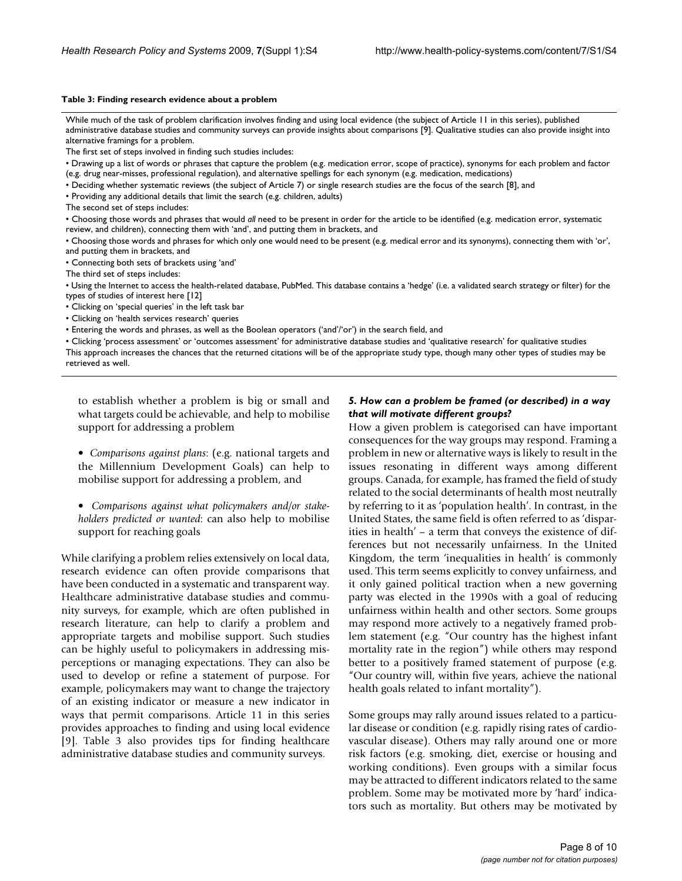#### **Table 3: Finding research evidence about a problem**

While much of the task of problem clarification involves finding and using local evidence (the subject of Article 11 in this series), published administrative database studies and community surveys can provide insights about comparisons [9]. Qualitative studies can also provide insight into alternative framings for a problem.

The first set of steps involved in finding such studies includes:

• Drawing up a list of words or phrases that capture the problem (e.g. medication error, scope of practice), synonyms for each problem and factor (e.g. drug near-misses, professional regulation), and alternative spellings for each synonym (e.g. medication, medications)

• Deciding whether systematic reviews (the subject of Article 7) or single research studies are the focus of the search [8], and

• Providing any additional details that limit the search (e.g. children, adults)

The second set of steps includes:

• Choosing those words and phrases that would *all* need to be present in order for the article to be identified (e.g. medication error, systematic review, and children), connecting them with 'and', and putting them in brackets, and

• Choosing those words and phrases for which only one would need to be present (e.g. medical error and its synonyms), connecting them with 'or', and putting them in brackets, and

• Connecting both sets of brackets using 'and'

The third set of steps includes:

• Using the Internet to access the health-related database, PubMed. This database contains a 'hedge' (i.e. a validated search strategy or filter) for the types of studies of interest here [12]

- Clicking on 'special queries' in the left task bar
- Clicking on 'health services research' queries
- Entering the words and phrases, as well as the Boolean operators ('and'/'or') in the search field, and

• Clicking 'process assessment' or 'outcomes assessment' for administrative database studies and 'qualitative research' for qualitative studies This approach increases the chances that the returned citations will be of the appropriate study type, though many other types of studies may be retrieved as well.

to establish whether a problem is big or small and what targets could be achievable, and help to mobilise support for addressing a problem

- *Comparisons against plans*: (e.g. national targets and the Millennium Development Goals) can help to mobilise support for addressing a problem, and
- *Comparisons against what policymakers and/or stakeholders predicted or wanted*: can also help to mobilise support for reaching goals

While clarifying a problem relies extensively on local data, research evidence can often provide comparisons that have been conducted in a systematic and transparent way. Healthcare administrative database studies and community surveys, for example, which are often published in research literature, can help to clarify a problem and appropriate targets and mobilise support. Such studies can be highly useful to policymakers in addressing misperceptions or managing expectations. They can also be used to develop or refine a statement of purpose. For example, policymakers may want to change the trajectory of an existing indicator or measure a new indicator in ways that permit comparisons. Article 11 in this series provides approaches to finding and using local evidence [9]. Table 3 also provides tips for finding healthcare administrative database studies and community surveys.

# *5. How can a problem be framed (or described) in a way that will motivate different groups?*

How a given problem is categorised can have important consequences for the way groups may respond. Framing a problem in new or alternative ways is likely to result in the issues resonating in different ways among different groups. Canada, for example, has framed the field of study related to the social determinants of health most neutrally by referring to it as 'population health'. In contrast, in the United States, the same field is often referred to as 'disparities in health' – a term that conveys the existence of differences but not necessarily unfairness. In the United Kingdom, the term 'inequalities in health' is commonly used. This term seems explicitly to convey unfairness, and it only gained political traction when a new governing party was elected in the 1990s with a goal of reducing unfairness within health and other sectors. Some groups may respond more actively to a negatively framed problem statement (e.g. "Our country has the highest infant mortality rate in the region") while others may respond better to a positively framed statement of purpose (e.g. "Our country will, within five years, achieve the national health goals related to infant mortality").

Some groups may rally around issues related to a particular disease or condition (e.g. rapidly rising rates of cardiovascular disease). Others may rally around one or more risk factors (e.g. smoking, diet, exercise or housing and working conditions). Even groups with a similar focus may be attracted to different indicators related to the same problem. Some may be motivated more by 'hard' indicators such as mortality. But others may be motivated by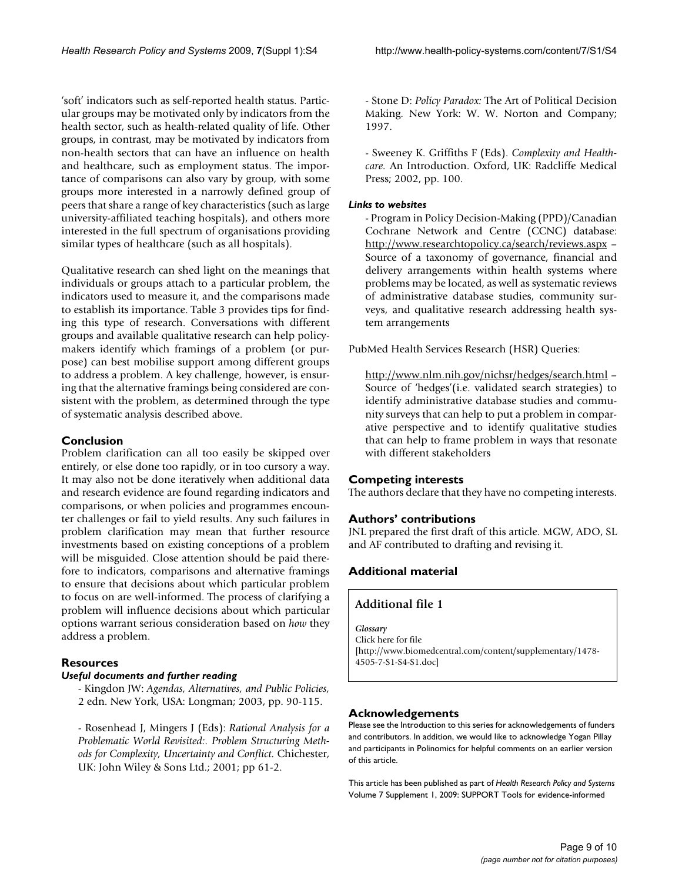'soft' indicators such as self-reported health status. Particular groups may be motivated only by indicators from the health sector, such as health-related quality of life. Other groups, in contrast, may be motivated by indicators from non-health sectors that can have an influence on health and healthcare, such as employment status. The importance of comparisons can also vary by group, with some groups more interested in a narrowly defined group of peers that share a range of key characteristics (such as large university-affiliated teaching hospitals), and others more interested in the full spectrum of organisations providing similar types of healthcare (such as all hospitals).

Qualitative research can shed light on the meanings that individuals or groups attach to a particular problem, the indicators used to measure it, and the comparisons made to establish its importance. Table 3 provides tips for finding this type of research. Conversations with different groups and available qualitative research can help policymakers identify which framings of a problem (or purpose) can best mobilise support among different groups to address a problem. A key challenge, however, is ensuring that the alternative framings being considered are consistent with the problem, as determined through the type of systematic analysis described above.

# **Conclusion**

Problem clarification can all too easily be skipped over entirely, or else done too rapidly, or in too cursory a way. It may also not be done iteratively when additional data and research evidence are found regarding indicators and comparisons, or when policies and programmes encounter challenges or fail to yield results. Any such failures in problem clarification may mean that further resource investments based on existing conceptions of a problem will be misguided. Close attention should be paid therefore to indicators, comparisons and alternative framings to ensure that decisions about which particular problem to focus on are well-informed. The process of clarifying a problem will influence decisions about which particular options warrant serious consideration based on *how* they address a problem.

# **Resources**

### *Useful documents and further reading*

- Kingdon JW: *Agendas, Alternatives, and Public Policies,* 2 edn. New York, USA: Longman; 2003, pp. 90-115.

- Rosenhead J, Mingers J (Eds): *Rational Analysis for a Problematic World Revisited:. Problem Structuring Methods for Complexity, Uncertainty and Conflict.* Chichester, UK: John Wiley & Sons Ltd.; 2001; pp 61-2.

- Stone D: *Policy Paradox:* The Art of Political Decision Making. New York: W. W. Norton and Company; 1997.

- Sweeney K. Griffiths F (Eds). *Complexity and Healthcare.* An Introduction. Oxford, UK: Radcliffe Medical Press; 2002, pp. 100.

#### *Links to websites*

- Program in Policy Decision-Making (PPD)/Canadian Cochrane Network and Centre (CCNC) database: <http://www.researchtopolicy.ca/search/reviews.aspx> – Source of a taxonomy of governance, financial and delivery arrangements within health systems where problems may be located, as well as systematic reviews of administrative database studies, community surveys, and qualitative research addressing health system arrangements

PubMed Health Services Research (HSR) Queries:

http://www.nlm.nih.gov/nichsr/hedges/search.html – Source of 'hedges'(i.e. validated search strategies) to identify administrative database studies and community surveys that can help to put a problem in comparative perspective and to identify qualitative studies that can help to frame problem in ways that resonate with different stakeholders

### **Competing interests**

The authors declare that they have no competing interests.

# **Authors' contributions**

JNL prepared the first draft of this article. MGW, ADO, SL and AF contributed to drafting and revising it.

# **Additional material**

# **Additional file 1**

*Glossary*

Click here for file [\[http://www.biomedcentral.com/content/supplementary/1478-](http://www.biomedcentral.com/content/supplementary/1478-4505-7-S1-S4-S1.doc) 4505-7-S1-S4-S1.doc]

### **Acknowledgements**

Please see the Introduction to this series for acknowledgements of funders and contributors. In addition, we would like to acknowledge Yogan Pillay and participants in Polinomics for helpful comments on an earlier version of this article.

This article has been published as part of *Health Research Policy and Systems* Volume 7 Supplement 1, 2009: SUPPORT Tools for evidence-informed